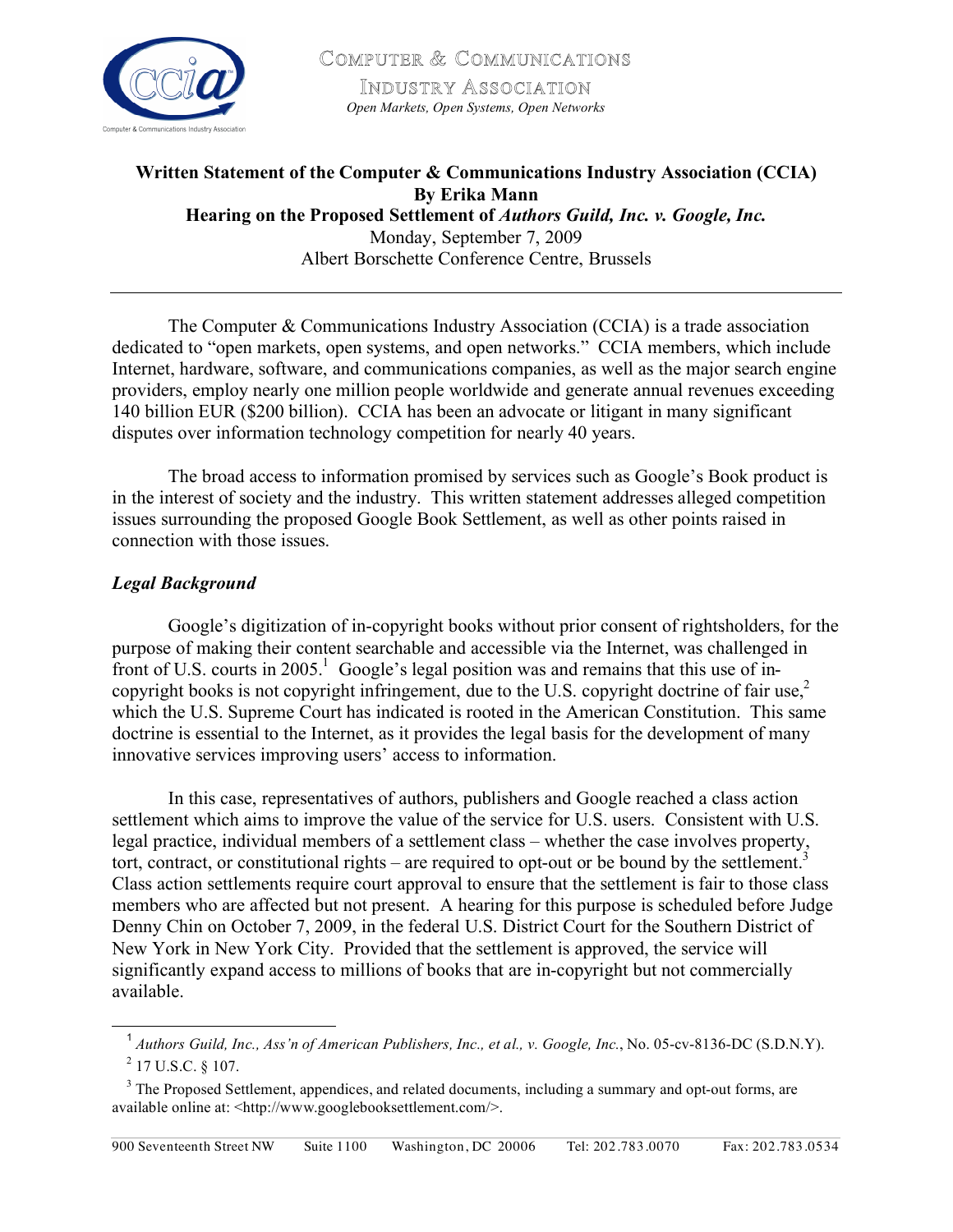

COMPUTER & COMMUNICATIONS INDUSTRY ASSOCIATION *Open Markets, Open Systems, Open Networks*

# **Written Statement of the Computer & Communications Industry Association (CCIA) By Erika Mann Hearing on the Proposed Settlement of** *Authors Guild, Inc. v. Google, Inc.* Monday, September 7, 2009 Albert Borschette Conference Centre, Brussels

The Computer & Communications Industry Association (CCIA) is a trade association dedicated to "open markets, open systems, and open networks." CCIA members, which include Internet, hardware, software, and communications companies, as well as the major search engine providers, employ nearly one million people worldwide and generate annual revenues exceeding 140 billion EUR (\$200 billion). CCIA has been an advocate or litigant in many significant disputes over information technology competition for nearly 40 years.

The broad access to information promised by services such as Google's Book product is in the interest of society and the industry. This written statement addresses alleged competition issues surrounding the proposed Google Book Settlement, as well as other points raised in connection with those issues.

## *Legal Background*

Google's digitization of in-copyright books without prior consent of rightsholders, for the purpose of making their content searchable and accessible via the Internet, was challenged in front of U.S. courts in 2005.<sup>1</sup> Google's legal position was and remains that this use of incopyright books is not copyright infringement, due to the U.S. copyright doctrine of fair use,<sup>2</sup> which the U.S. Supreme Court has indicated is rooted in the American Constitution. This same doctrine is essential to the Internet, as it provides the legal basis for the development of many innovative services improving users' access to information.

In this case, representatives of authors, publishers and Google reached a class action settlement which aims to improve the value of the service for U.S. users. Consistent with U.S. legal practice, individual members of a settlement class – whether the case involves property, tort, contract, or constitutional rights – are required to opt-out or be bound by the settlement.<sup>3</sup> Class action settlements require court approval to ensure that the settlement is fair to those class members who are affected but not present. A hearing for this purpose is scheduled before Judge Denny Chin on October 7, 2009, in the federal U.S. District Court for the Southern District of New York in New York City. Provided that the settlement is approved, the service will significantly expand access to millions of books that are in-copyright but not commercially available.

 <sup>1</sup> *Authors Guild, Inc., Ass'n of American Publishers, Inc., et al., v. Google, Inc.*, No. 05-cv-8136-DC (S.D.N.Y).  $^{2}$  17 U.S.C. § 107.

<sup>&</sup>lt;sup>3</sup> The Proposed Settlement, appendices, and related documents, including a summary and opt-out forms, are available online at: <http://www.googlebooksettlement.com/>.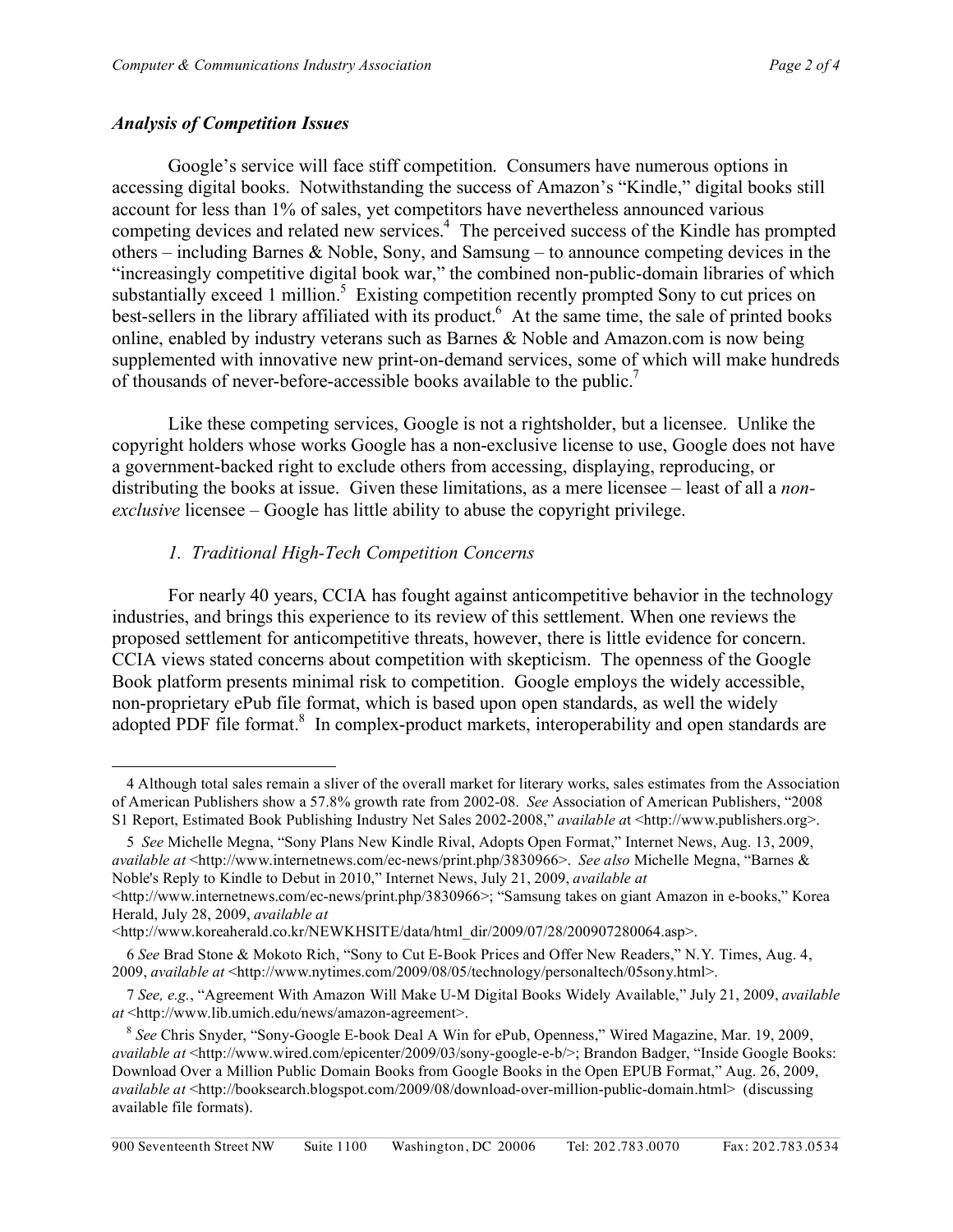#### *Analysis of Competition Issues*

 $\overline{a}$ 

Google's service will face stiff competition. Consumers have numerous options in accessing digital books. Notwithstanding the success of Amazon's "Kindle," digital books still account for less than 1% of sales, yet competitors have nevertheless announced various competing devices and related new services.<sup>4</sup> The perceived success of the Kindle has prompted others – including Barnes & Noble, Sony, and Samsung – to announce competing devices in the "increasingly competitive digital book war," the combined non-public-domain libraries of which substantially exceed 1 million.<sup>5</sup> Existing competition recently prompted Sony to cut prices on best-sellers in the library affiliated with its product.<sup>6</sup> At the same time, the sale of printed books online, enabled by industry veterans such as Barnes & Noble and Amazon.com is now being supplemented with innovative new print-on-demand services, some of which will make hundreds of thousands of never-before-accessible books available to the public.<sup>7</sup>

Like these competing services, Google is not a rightsholder, but a licensee. Unlike the copyright holders whose works Google has a non-exclusive license to use, Google does not have a government-backed right to exclude others from accessing, displaying, reproducing, or distributing the books at issue. Given these limitations, as a mere licensee – least of all a *nonexclusive* licensee – Google has little ability to abuse the copyright privilege.

## *1. Traditional High-Tech Competition Concerns*

For nearly 40 years, CCIA has fought against anticompetitive behavior in the technology industries, and brings this experience to its review of this settlement. When one reviews the proposed settlement for anticompetitive threats, however, there is little evidence for concern. CCIA views stated concerns about competition with skepticism. The openness of the Google Book platform presents minimal risk to competition. Google employs the widely accessible, non-proprietary ePub file format, which is based upon open standards, as well the widely adopted PDF file format.<sup>8</sup> In complex-product markets, interoperability and open standards are

<sup>4</sup> Although total sales remain a sliver of the overall market for literary works, sales estimates from the Association of American Publishers show a 57.8% growth rate from 2002-08. *See* Association of American Publishers, "2008 S1 Report, Estimated Book Publishing Industry Net Sales 2002-2008," *available a*t <http://www.publishers.org>.

<sup>5</sup> *See* Michelle Megna, "Sony Plans New Kindle Rival, Adopts Open Format," Internet News, Aug. 13, 2009, *available at* <http://www.internetnews.com/ec-news/print.php/3830966>. *See also* Michelle Megna, "Barnes & Noble's Reply to Kindle to Debut in 2010," Internet News, July 21, 2009, *available at*

<sup>&</sup>lt;http://www.internetnews.com/ec-news/print.php/3830966>; "Samsung takes on giant Amazon in e-books," Korea Herald, July 28, 2009, *available at*

<sup>&</sup>lt;http://www.koreaherald.co.kr/NEWKHSITE/data/html dir/2009/07/28/200907280064.asp>.

<sup>6</sup> *See* Brad Stone & Mokoto Rich, "Sony to Cut E-Book Prices and Offer New Readers," N.Y. Times, Aug. 4, 2009, *available at* <http://www.nytimes.com/2009/08/05/technology/personaltech/05sony.html>.

<sup>7</sup> *See, e.g.*, "Agreement With Amazon Will Make U-M Digital Books Widely Available," July 21, 2009, *available at* <http://www.lib.umich.edu/news/amazon-agreement>.

<sup>8</sup> *See* Chris Snyder, "Sony-Google E-book Deal A Win for ePub, Openness," Wired Magazine, Mar. 19, 2009, *available at* <http://www.wired.com/epicenter/2009/03/sony-google-e-b/>; Brandon Badger, "Inside Google Books: Download Over a Million Public Domain Books from Google Books in the Open EPUB Format," Aug. 26, 2009, *available at* <http://booksearch.blogspot.com/2009/08/download-over-million-public-domain.html> (discussing available file formats).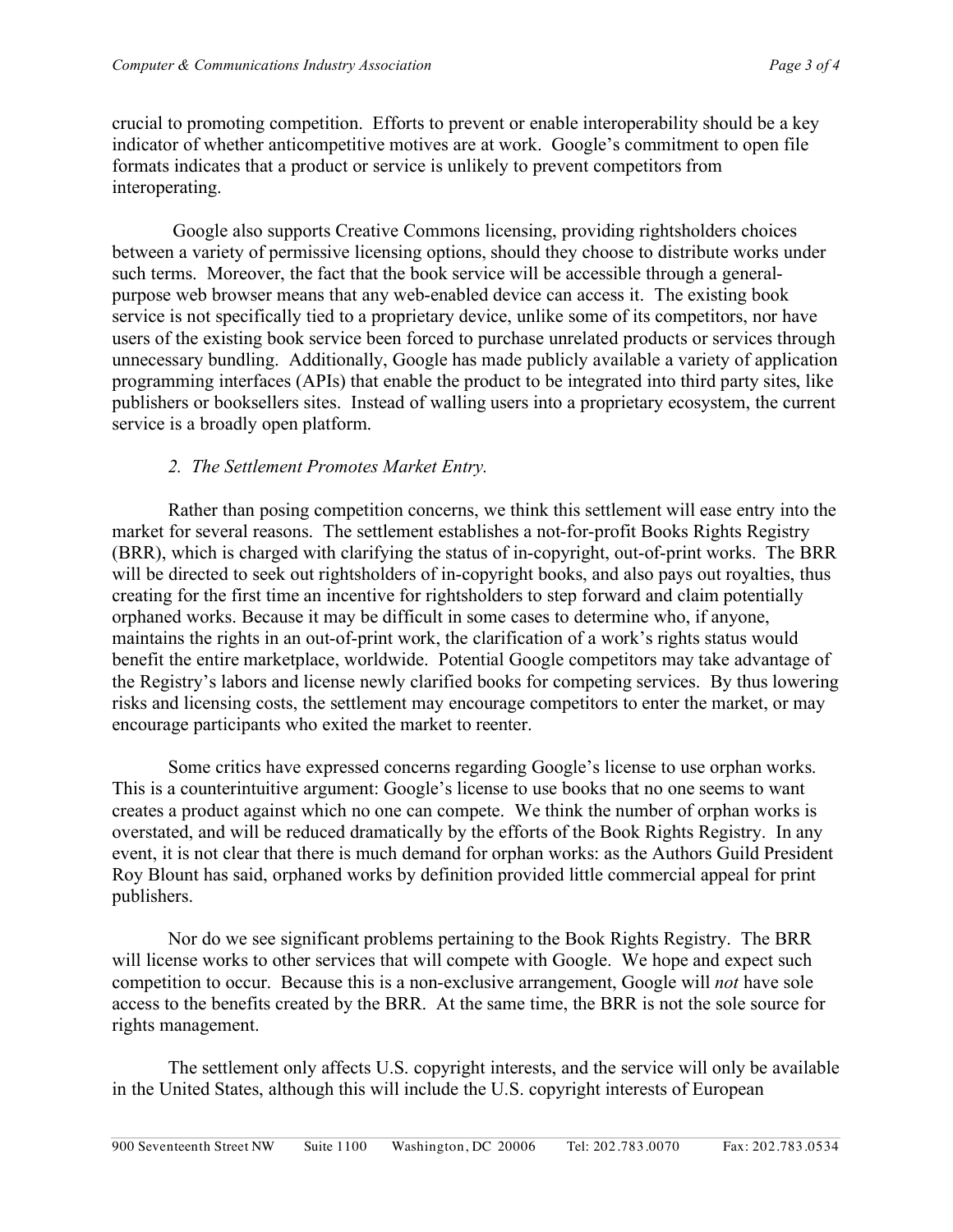crucial to promoting competition. Efforts to prevent or enable interoperability should be a key indicator of whether anticompetitive motives are at work. Google's commitment to open file formats indicates that a product or service is unlikely to prevent competitors from interoperating.

 Google also supports Creative Commons licensing, providing rightsholders choices between a variety of permissive licensing options, should they choose to distribute works under such terms. Moreover, the fact that the book service will be accessible through a generalpurpose web browser means that any web-enabled device can access it. The existing book service is not specifically tied to a proprietary device, unlike some of its competitors, nor have users of the existing book service been forced to purchase unrelated products or services through unnecessary bundling. Additionally, Google has made publicly available a variety of application programming interfaces (APIs) that enable the product to be integrated into third party sites, like publishers or booksellers sites. Instead of walling users into a proprietary ecosystem, the current service is a broadly open platform.

## *2. The Settlement Promotes Market Entry.*

Rather than posing competition concerns, we think this settlement will ease entry into the market for several reasons. The settlement establishes a not-for-profit Books Rights Registry (BRR), which is charged with clarifying the status of in-copyright, out-of-print works. The BRR will be directed to seek out rightsholders of in-copyright books, and also pays out royalties, thus creating for the first time an incentive for rightsholders to step forward and claim potentially orphaned works. Because it may be difficult in some cases to determine who, if anyone, maintains the rights in an out-of-print work, the clarification of a work's rights status would benefit the entire marketplace, worldwide. Potential Google competitors may take advantage of the Registry's labors and license newly clarified books for competing services. By thus lowering risks and licensing costs, the settlement may encourage competitors to enter the market, or may encourage participants who exited the market to reenter.

Some critics have expressed concerns regarding Google's license to use orphan works. This is a counterintuitive argument: Google's license to use books that no one seems to want creates a product against which no one can compete. We think the number of orphan works is overstated, and will be reduced dramatically by the efforts of the Book Rights Registry. In any event, it is not clear that there is much demand for orphan works: as the Authors Guild President Roy Blount has said, orphaned works by definition provided little commercial appeal for print publishers.

Nor do we see significant problems pertaining to the Book Rights Registry. The BRR will license works to other services that will compete with Google. We hope and expect such competition to occur. Because this is a non-exclusive arrangement, Google will *not* have sole access to the benefits created by the BRR. At the same time, the BRR is not the sole source for rights management.

The settlement only affects U.S. copyright interests, and the service will only be available in the United States, although this will include the U.S. copyright interests of European